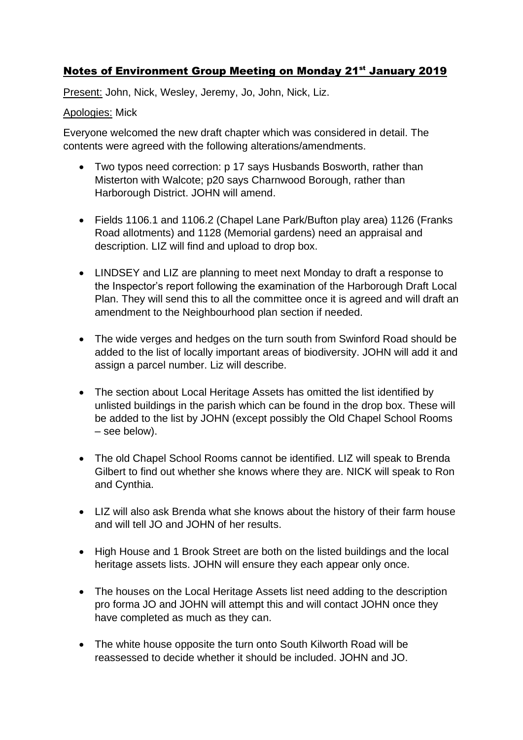## Notes of Environment Group Meeting on Monday 21<sup>st</sup> January 2019

Present: John, Nick, Wesley, Jeremy, Jo, John, Nick, Liz.

## Apologies: Mick

Everyone welcomed the new draft chapter which was considered in detail. The contents were agreed with the following alterations/amendments.

- Two typos need correction: p 17 says Husbands Bosworth, rather than Misterton with Walcote; p20 says Charnwood Borough, rather than Harborough District. JOHN will amend.
- Fields 1106.1 and 1106.2 (Chapel Lane Park/Bufton play area) 1126 (Franks Road allotments) and 1128 (Memorial gardens) need an appraisal and description. LIZ will find and upload to drop box.
- LINDSEY and LIZ are planning to meet next Monday to draft a response to the Inspector's report following the examination of the Harborough Draft Local Plan. They will send this to all the committee once it is agreed and will draft an amendment to the Neighbourhood plan section if needed.
- The wide verges and hedges on the turn south from Swinford Road should be added to the list of locally important areas of biodiversity. JOHN will add it and assign a parcel number. Liz will describe.
- The section about Local Heritage Assets has omitted the list identified by unlisted buildings in the parish which can be found in the drop box. These will be added to the list by JOHN (except possibly the Old Chapel School Rooms – see below).
- The old Chapel School Rooms cannot be identified. LIZ will speak to Brenda Gilbert to find out whether she knows where they are. NICK will speak to Ron and Cynthia.
- LIZ will also ask Brenda what she knows about the history of their farm house and will tell JO and JOHN of her results.
- High House and 1 Brook Street are both on the listed buildings and the local heritage assets lists. JOHN will ensure they each appear only once.
- The houses on the Local Heritage Assets list need adding to the description pro forma JO and JOHN will attempt this and will contact JOHN once they have completed as much as they can.
- The white house opposite the turn onto South Kilworth Road will be reassessed to decide whether it should be included. JOHN and JO.